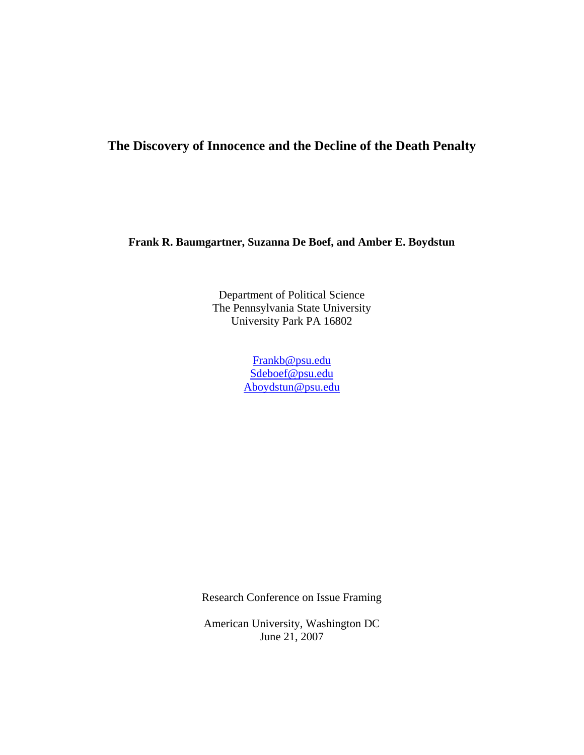# **The Discovery of Innocence and the Decline of the Death Penalty**

**Frank R. Baumgartner, Suzanna De Boef, and Amber E. Boydstun** 

Department of Political Science The Pennsylvania State University University Park PA 16802

> Frankb@psu.edu Sdeboef@psu.edu Aboydstun@psu.edu

Research Conference on Issue Framing

American University, Washington DC June 21, 2007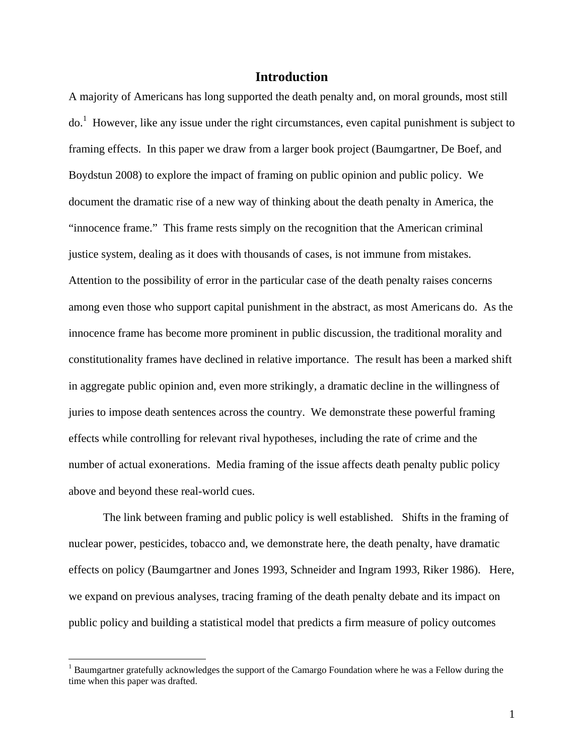# **Introduction**

A majority of Americans has long supported the death penalty and, on moral grounds, most still do.<sup>1</sup> However, like any issue under the right circumstances, even capital punishment is subject to framing effects. In this paper we draw from a larger book project (Baumgartner, De Boef, and Boydstun 2008) to explore the impact of framing on public opinion and public policy. We document the dramatic rise of a new way of thinking about the death penalty in America, the "innocence frame." This frame rests simply on the recognition that the American criminal justice system, dealing as it does with thousands of cases, is not immune from mistakes. Attention to the possibility of error in the particular case of the death penalty raises concerns among even those who support capital punishment in the abstract, as most Americans do. As the innocence frame has become more prominent in public discussion, the traditional morality and constitutionality frames have declined in relative importance. The result has been a marked shift in aggregate public opinion and, even more strikingly, a dramatic decline in the willingness of juries to impose death sentences across the country. We demonstrate these powerful framing effects while controlling for relevant rival hypotheses, including the rate of crime and the number of actual exonerations. Media framing of the issue affects death penalty public policy above and beyond these real-world cues.

The link between framing and public policy is well established. Shifts in the framing of nuclear power, pesticides, tobacco and, we demonstrate here, the death penalty, have dramatic effects on policy (Baumgartner and Jones 1993, Schneider and Ingram 1993, Riker 1986). Here, we expand on previous analyses, tracing framing of the death penalty debate and its impact on public policy and building a statistical model that predicts a firm measure of policy outcomes

<sup>&</sup>lt;sup>1</sup> Baumgartner gratefully acknowledges the support of the Camargo Foundation where he was a Fellow during the time when this paper was drafted.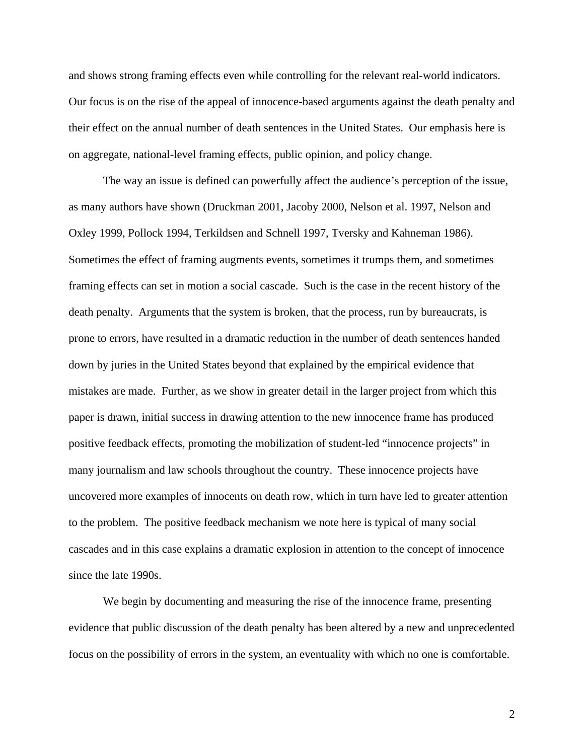and shows strong framing effects even while controlling for the relevant real-world indicators. Our focus is on the rise of the appeal of innocence-based arguments against the death penalty and their effect on the annual number of death sentences in the United States. Our emphasis here is on aggregate, national-level framing effects, public opinion, and policy change.

The way an issue is defined can powerfully affect the audience's perception of the issue, as many authors have shown (Druckman 2001, Jacoby 2000, Nelson et al. 1997, Nelson and Oxley 1999, Pollock 1994, Terkildsen and Schnell 1997, Tversky and Kahneman 1986). Sometimes the effect of framing augments events, sometimes it trumps them, and sometimes framing effects can set in motion a social cascade. Such is the case in the recent history of the death penalty. Arguments that the system is broken, that the process, run by bureaucrats, is prone to errors, have resulted in a dramatic reduction in the number of death sentences handed down by juries in the United States beyond that explained by the empirical evidence that mistakes are made. Further, as we show in greater detail in the larger project from which this paper is drawn, initial success in drawing attention to the new innocence frame has produced positive feedback effects, promoting the mobilization of student-led "innocence projects" in many journalism and law schools throughout the country. These innocence projects have uncovered more examples of innocents on death row, which in turn have led to greater attention to the problem. The positive feedback mechanism we note here is typical of many social cascades and in this case explains a dramatic explosion in attention to the concept of innocence since the late 1990s.

We begin by documenting and measuring the rise of the innocence frame, presenting evidence that public discussion of the death penalty has been altered by a new and unprecedented focus on the possibility of errors in the system, an eventuality with which no one is comfortable.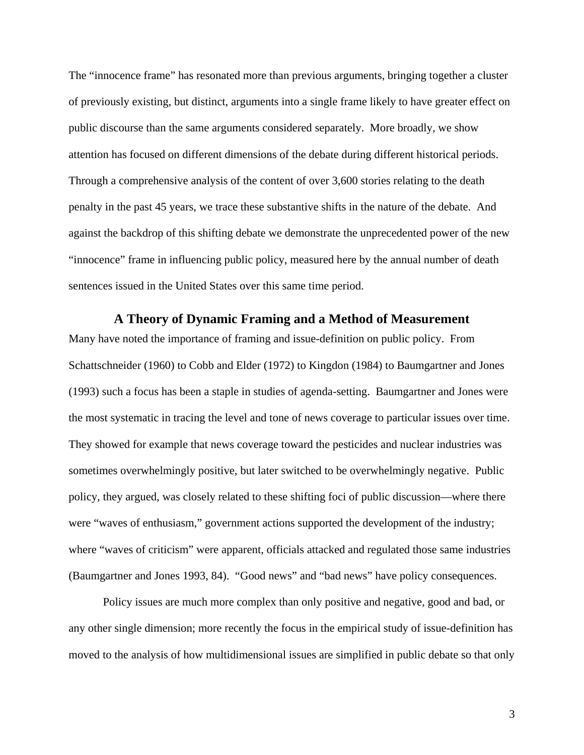The "innocence frame" has resonated more than previous arguments, bringing together a cluster of previously existing, but distinct, arguments into a single frame likely to have greater effect on public discourse than the same arguments considered separately. More broadly, we show attention has focused on different dimensions of the debate during different historical periods. Through a comprehensive analysis of the content of over 3,600 stories relating to the death penalty in the past 45 years, we trace these substantive shifts in the nature of the debate. And against the backdrop of this shifting debate we demonstrate the unprecedented power of the new "innocence" frame in influencing public policy, measured here by the annual number of death sentences issued in the United States over this same time period.

#### **A Theory of Dynamic Framing and a Method of Measurement**

Many have noted the importance of framing and issue-definition on public policy. From Schattschneider (1960) to Cobb and Elder (1972) to Kingdon (1984) to Baumgartner and Jones (1993) such a focus has been a staple in studies of agenda-setting. Baumgartner and Jones were the most systematic in tracing the level and tone of news coverage to particular issues over time. They showed for example that news coverage toward the pesticides and nuclear industries was sometimes overwhelmingly positive, but later switched to be overwhelmingly negative. Public policy, they argued, was closely related to these shifting foci of public discussion—where there were "waves of enthusiasm," government actions supported the development of the industry; where "waves of criticism" were apparent, officials attacked and regulated those same industries (Baumgartner and Jones 1993, 84). "Good news" and "bad news" have policy consequences.

Policy issues are much more complex than only positive and negative, good and bad, or any other single dimension; more recently the focus in the empirical study of issue-definition has moved to the analysis of how multidimensional issues are simplified in public debate so that only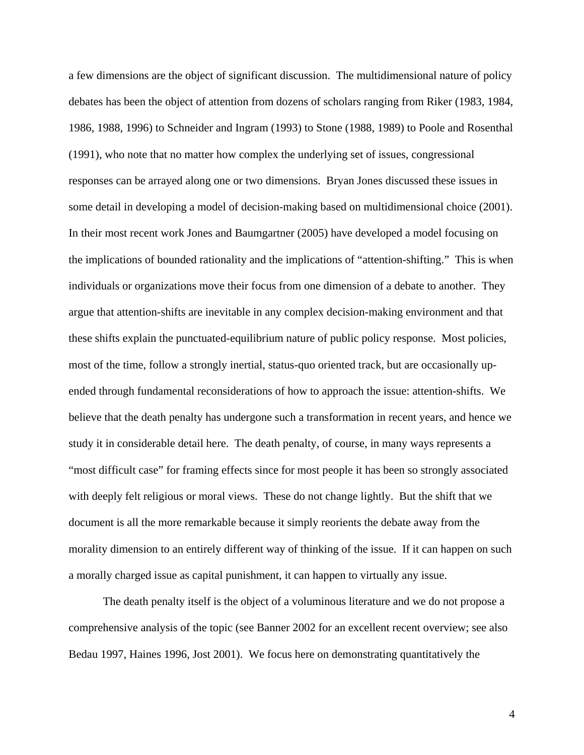a few dimensions are the object of significant discussion. The multidimensional nature of policy debates has been the object of attention from dozens of scholars ranging from Riker (1983, 1984, 1986, 1988, 1996) to Schneider and Ingram (1993) to Stone (1988, 1989) to Poole and Rosenthal (1991), who note that no matter how complex the underlying set of issues, congressional responses can be arrayed along one or two dimensions. Bryan Jones discussed these issues in some detail in developing a model of decision-making based on multidimensional choice (2001). In their most recent work Jones and Baumgartner (2005) have developed a model focusing on the implications of bounded rationality and the implications of "attention-shifting." This is when individuals or organizations move their focus from one dimension of a debate to another. They argue that attention-shifts are inevitable in any complex decision-making environment and that these shifts explain the punctuated-equilibrium nature of public policy response. Most policies, most of the time, follow a strongly inertial, status-quo oriented track, but are occasionally upended through fundamental reconsiderations of how to approach the issue: attention-shifts. We believe that the death penalty has undergone such a transformation in recent years, and hence we study it in considerable detail here. The death penalty, of course, in many ways represents a "most difficult case" for framing effects since for most people it has been so strongly associated with deeply felt religious or moral views. These do not change lightly. But the shift that we document is all the more remarkable because it simply reorients the debate away from the morality dimension to an entirely different way of thinking of the issue. If it can happen on such a morally charged issue as capital punishment, it can happen to virtually any issue.

The death penalty itself is the object of a voluminous literature and we do not propose a comprehensive analysis of the topic (see Banner 2002 for an excellent recent overview; see also Bedau 1997, Haines 1996, Jost 2001). We focus here on demonstrating quantitatively the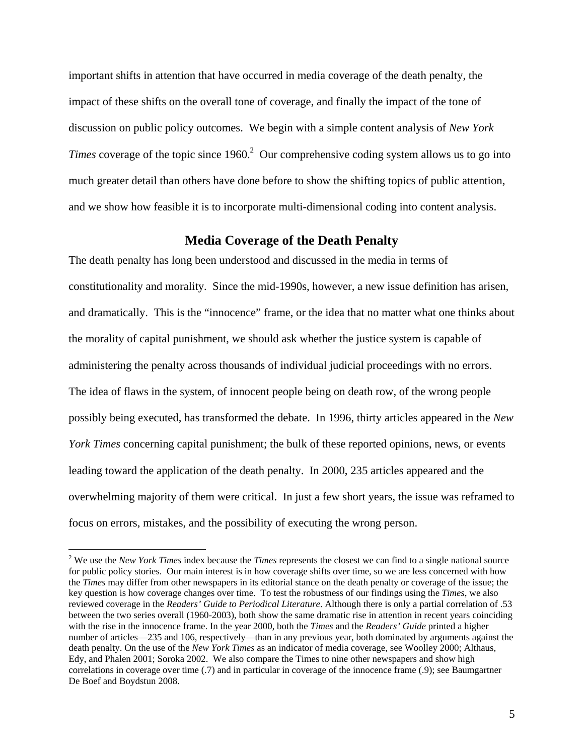important shifts in attention that have occurred in media coverage of the death penalty, the impact of these shifts on the overall tone of coverage, and finally the impact of the tone of discussion on public policy outcomes. We begin with a simple content analysis of *New York*  Times coverage of the topic since 1960.<sup>2</sup> Our comprehensive coding system allows us to go into much greater detail than others have done before to show the shifting topics of public attention, and we show how feasible it is to incorporate multi-dimensional coding into content analysis.

# **Media Coverage of the Death Penalty**

The death penalty has long been understood and discussed in the media in terms of constitutionality and morality. Since the mid-1990s, however, a new issue definition has arisen, and dramatically. This is the "innocence" frame, or the idea that no matter what one thinks about the morality of capital punishment, we should ask whether the justice system is capable of administering the penalty across thousands of individual judicial proceedings with no errors. The idea of flaws in the system, of innocent people being on death row, of the wrong people possibly being executed, has transformed the debate. In 1996, thirty articles appeared in the *New York Times* concerning capital punishment; the bulk of these reported opinions, news, or events leading toward the application of the death penalty. In 2000, 235 articles appeared and the overwhelming majority of them were critical. In just a few short years, the issue was reframed to focus on errors, mistakes, and the possibility of executing the wrong person.

<sup>2</sup> We use the *New York Times* index because the *Times* represents the closest we can find to a single national source for public policy stories. Our main interest is in how coverage shifts over time, so we are less concerned with how the *Times* may differ from other newspapers in its editorial stance on the death penalty or coverage of the issue; the key question is how coverage changes over time. To test the robustness of our findings using the *Times*, we also reviewed coverage in the *Readers' Guide to Periodical Literature*. Although there is only a partial correlation of .53 between the two series overall (1960-2003), both show the same dramatic rise in attention in recent years coinciding with the rise in the innocence frame. In the year 2000, both the *Times* and the *Readers' Guide* printed a higher number of articles—235 and 106, respectively—than in any previous year, both dominated by arguments against the death penalty. On the use of the *New York Times* as an indicator of media coverage, see Woolley 2000; Althaus, Edy, and Phalen 2001; Soroka 2002. We also compare the Times to nine other newspapers and show high correlations in coverage over time (.7) and in particular in coverage of the innocence frame (.9); see Baumgartner De Boef and Boydstun 2008.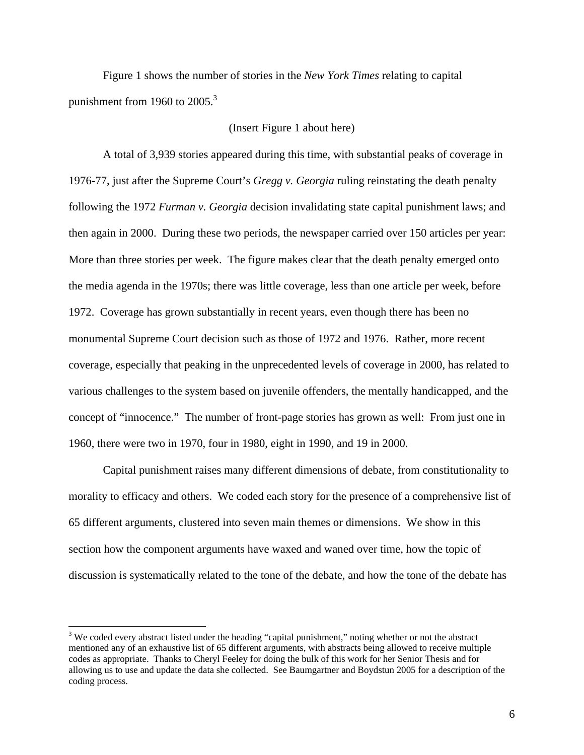Figure 1 shows the number of stories in the *New York Times* relating to capital punishment from 1960 to  $2005<sup>3</sup>$ 

## (Insert Figure 1 about here)

A total of 3,939 stories appeared during this time, with substantial peaks of coverage in 1976-77, just after the Supreme Court's *Gregg v. Georgia* ruling reinstating the death penalty following the 1972 *Furman v. Georgia* decision invalidating state capital punishment laws; and then again in 2000. During these two periods, the newspaper carried over 150 articles per year: More than three stories per week. The figure makes clear that the death penalty emerged onto the media agenda in the 1970s; there was little coverage, less than one article per week, before 1972. Coverage has grown substantially in recent years, even though there has been no monumental Supreme Court decision such as those of 1972 and 1976. Rather, more recent coverage, especially that peaking in the unprecedented levels of coverage in 2000, has related to various challenges to the system based on juvenile offenders, the mentally handicapped, and the concept of "innocence." The number of front-page stories has grown as well: From just one in 1960, there were two in 1970, four in 1980, eight in 1990, and 19 in 2000.

Capital punishment raises many different dimensions of debate, from constitutionality to morality to efficacy and others. We coded each story for the presence of a comprehensive list of 65 different arguments, clustered into seven main themes or dimensions. We show in this section how the component arguments have waxed and waned over time, how the topic of discussion is systematically related to the tone of the debate, and how the tone of the debate has

 $3$  We coded every abstract listed under the heading "capital punishment," noting whether or not the abstract mentioned any of an exhaustive list of 65 different arguments, with abstracts being allowed to receive multiple codes as appropriate. Thanks to Cheryl Feeley for doing the bulk of this work for her Senior Thesis and for allowing us to use and update the data she collected. See Baumgartner and Boydstun 2005 for a description of the coding process.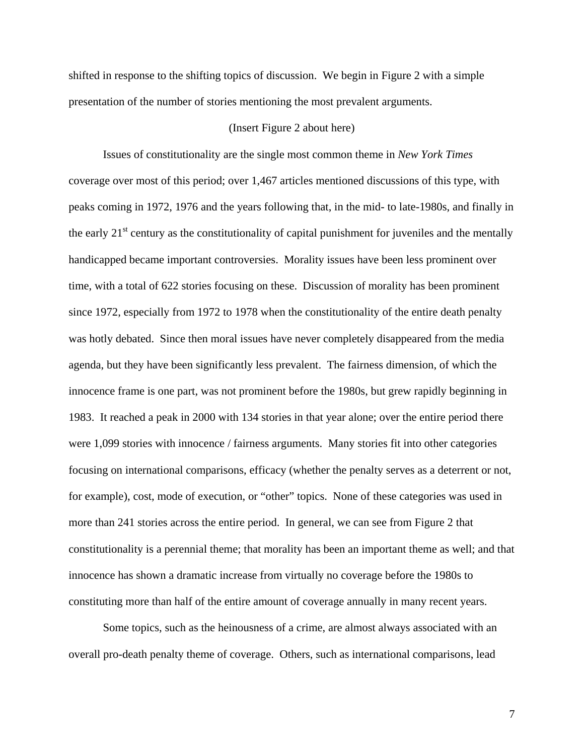shifted in response to the shifting topics of discussion. We begin in Figure 2 with a simple presentation of the number of stories mentioning the most prevalent arguments.

## (Insert Figure 2 about here)

Issues of constitutionality are the single most common theme in *New York Times*  coverage over most of this period; over 1,467 articles mentioned discussions of this type, with peaks coming in 1972, 1976 and the years following that, in the mid- to late-1980s, and finally in the early  $21<sup>st</sup>$  century as the constitutionality of capital punishment for juveniles and the mentally handicapped became important controversies. Morality issues have been less prominent over time, with a total of 622 stories focusing on these. Discussion of morality has been prominent since 1972, especially from 1972 to 1978 when the constitutionality of the entire death penalty was hotly debated. Since then moral issues have never completely disappeared from the media agenda, but they have been significantly less prevalent. The fairness dimension, of which the innocence frame is one part, was not prominent before the 1980s, but grew rapidly beginning in 1983. It reached a peak in 2000 with 134 stories in that year alone; over the entire period there were 1,099 stories with innocence / fairness arguments. Many stories fit into other categories focusing on international comparisons, efficacy (whether the penalty serves as a deterrent or not, for example), cost, mode of execution, or "other" topics. None of these categories was used in more than 241 stories across the entire period. In general, we can see from Figure 2 that constitutionality is a perennial theme; that morality has been an important theme as well; and that innocence has shown a dramatic increase from virtually no coverage before the 1980s to constituting more than half of the entire amount of coverage annually in many recent years.

Some topics, such as the heinousness of a crime, are almost always associated with an overall pro-death penalty theme of coverage. Others, such as international comparisons, lead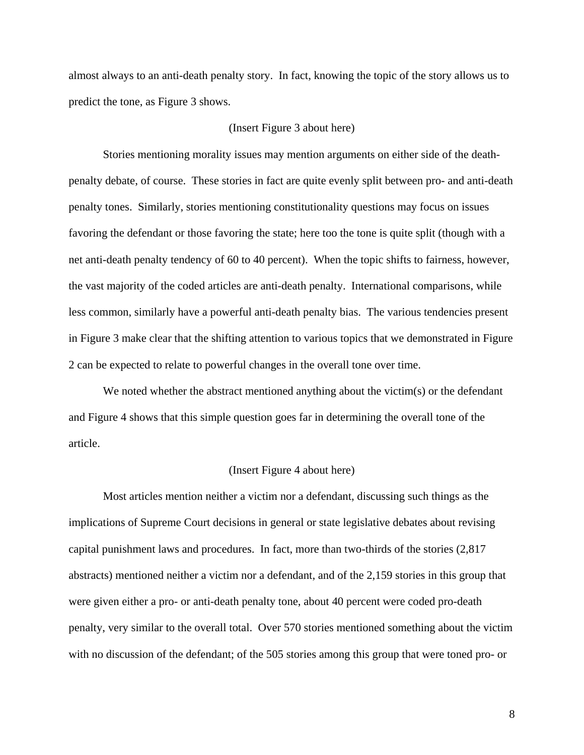almost always to an anti-death penalty story. In fact, knowing the topic of the story allows us to predict the tone, as Figure 3 shows.

## (Insert Figure 3 about here)

Stories mentioning morality issues may mention arguments on either side of the deathpenalty debate, of course. These stories in fact are quite evenly split between pro- and anti-death penalty tones. Similarly, stories mentioning constitutionality questions may focus on issues favoring the defendant or those favoring the state; here too the tone is quite split (though with a net anti-death penalty tendency of 60 to 40 percent). When the topic shifts to fairness, however, the vast majority of the coded articles are anti-death penalty. International comparisons, while less common, similarly have a powerful anti-death penalty bias. The various tendencies present in Figure 3 make clear that the shifting attention to various topics that we demonstrated in Figure 2 can be expected to relate to powerful changes in the overall tone over time.

We noted whether the abstract mentioned anything about the victim(s) or the defendant and Figure 4 shows that this simple question goes far in determining the overall tone of the article.

#### (Insert Figure 4 about here)

Most articles mention neither a victim nor a defendant, discussing such things as the implications of Supreme Court decisions in general or state legislative debates about revising capital punishment laws and procedures. In fact, more than two-thirds of the stories (2,817 abstracts) mentioned neither a victim nor a defendant, and of the 2,159 stories in this group that were given either a pro- or anti-death penalty tone, about 40 percent were coded pro-death penalty, very similar to the overall total. Over 570 stories mentioned something about the victim with no discussion of the defendant; of the 505 stories among this group that were toned pro- or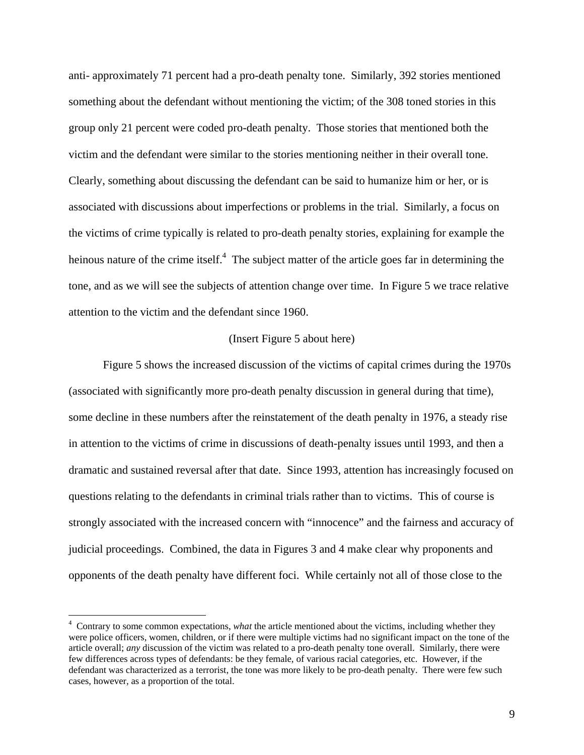anti- approximately 71 percent had a pro-death penalty tone. Similarly, 392 stories mentioned something about the defendant without mentioning the victim; of the 308 toned stories in this group only 21 percent were coded pro-death penalty. Those stories that mentioned both the victim and the defendant were similar to the stories mentioning neither in their overall tone. Clearly, something about discussing the defendant can be said to humanize him or her, or is associated with discussions about imperfections or problems in the trial. Similarly, a focus on the victims of crime typically is related to pro-death penalty stories, explaining for example the heinous nature of the crime itself.<sup>4</sup> The subject matter of the article goes far in determining the tone, and as we will see the subjects of attention change over time. In Figure 5 we trace relative attention to the victim and the defendant since 1960.

## (Insert Figure 5 about here)

Figure 5 shows the increased discussion of the victims of capital crimes during the 1970s (associated with significantly more pro-death penalty discussion in general during that time), some decline in these numbers after the reinstatement of the death penalty in 1976, a steady rise in attention to the victims of crime in discussions of death-penalty issues until 1993, and then a dramatic and sustained reversal after that date. Since 1993, attention has increasingly focused on questions relating to the defendants in criminal trials rather than to victims. This of course is strongly associated with the increased concern with "innocence" and the fairness and accuracy of judicial proceedings. Combined, the data in Figures 3 and 4 make clear why proponents and opponents of the death penalty have different foci. While certainly not all of those close to the

<sup>4</sup> Contrary to some common expectations, *what* the article mentioned about the victims, including whether they were police officers, women, children, or if there were multiple victims had no significant impact on the tone of the article overall; *any* discussion of the victim was related to a pro-death penalty tone overall. Similarly, there were few differences across types of defendants: be they female, of various racial categories, etc. However, if the defendant was characterized as a terrorist, the tone was more likely to be pro-death penalty. There were few such cases, however, as a proportion of the total.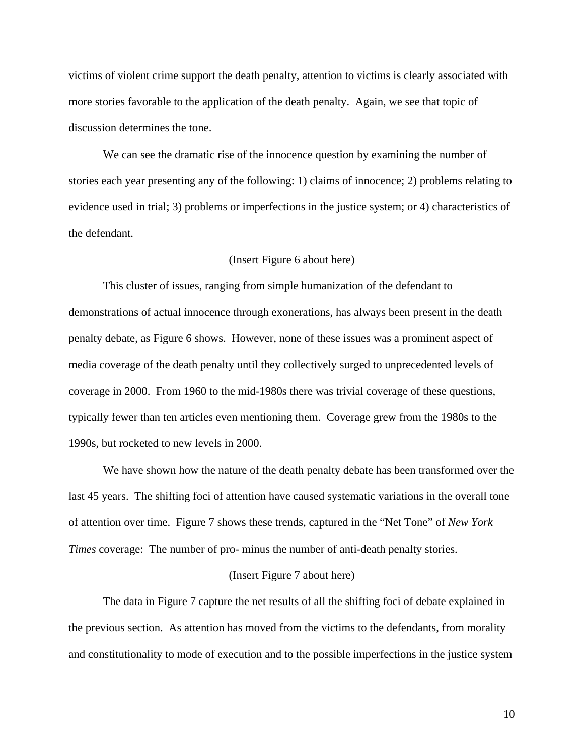victims of violent crime support the death penalty, attention to victims is clearly associated with more stories favorable to the application of the death penalty. Again, we see that topic of discussion determines the tone.

We can see the dramatic rise of the innocence question by examining the number of stories each year presenting any of the following: 1) claims of innocence; 2) problems relating to evidence used in trial; 3) problems or imperfections in the justice system; or 4) characteristics of the defendant.

#### (Insert Figure 6 about here)

This cluster of issues, ranging from simple humanization of the defendant to demonstrations of actual innocence through exonerations, has always been present in the death penalty debate, as Figure 6 shows. However, none of these issues was a prominent aspect of media coverage of the death penalty until they collectively surged to unprecedented levels of coverage in 2000. From 1960 to the mid-1980s there was trivial coverage of these questions, typically fewer than ten articles even mentioning them. Coverage grew from the 1980s to the 1990s, but rocketed to new levels in 2000.

We have shown how the nature of the death penalty debate has been transformed over the last 45 years. The shifting foci of attention have caused systematic variations in the overall tone of attention over time. Figure 7 shows these trends, captured in the "Net Tone" of *New York Times* coverage: The number of pro- minus the number of anti-death penalty stories.

#### (Insert Figure 7 about here)

The data in Figure 7 capture the net results of all the shifting foci of debate explained in the previous section. As attention has moved from the victims to the defendants, from morality and constitutionality to mode of execution and to the possible imperfections in the justice system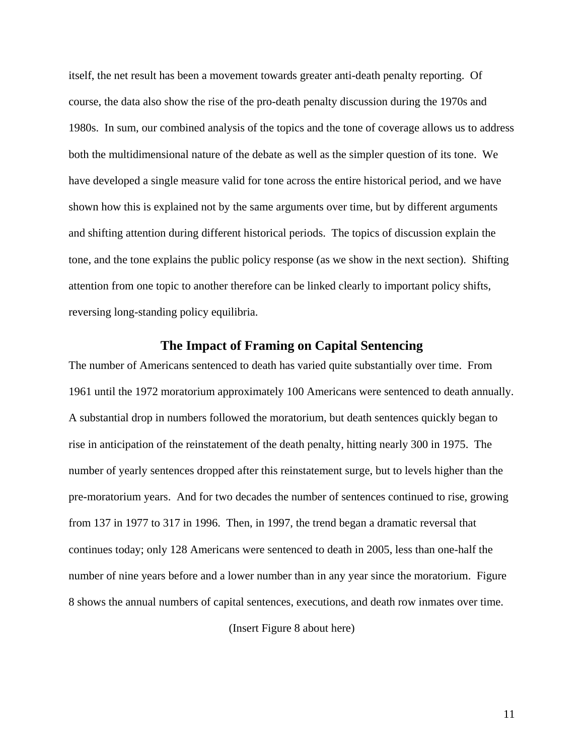itself, the net result has been a movement towards greater anti-death penalty reporting. Of course, the data also show the rise of the pro-death penalty discussion during the 1970s and 1980s. In sum, our combined analysis of the topics and the tone of coverage allows us to address both the multidimensional nature of the debate as well as the simpler question of its tone. We have developed a single measure valid for tone across the entire historical period, and we have shown how this is explained not by the same arguments over time, but by different arguments and shifting attention during different historical periods. The topics of discussion explain the tone, and the tone explains the public policy response (as we show in the next section). Shifting attention from one topic to another therefore can be linked clearly to important policy shifts, reversing long-standing policy equilibria.

## **The Impact of Framing on Capital Sentencing**

The number of Americans sentenced to death has varied quite substantially over time. From 1961 until the 1972 moratorium approximately 100 Americans were sentenced to death annually. A substantial drop in numbers followed the moratorium, but death sentences quickly began to rise in anticipation of the reinstatement of the death penalty, hitting nearly 300 in 1975. The number of yearly sentences dropped after this reinstatement surge, but to levels higher than the pre-moratorium years. And for two decades the number of sentences continued to rise, growing from 137 in 1977 to 317 in 1996. Then, in 1997, the trend began a dramatic reversal that continues today; only 128 Americans were sentenced to death in 2005, less than one-half the number of nine years before and a lower number than in any year since the moratorium. Figure 8 shows the annual numbers of capital sentences, executions, and death row inmates over time.

(Insert Figure 8 about here)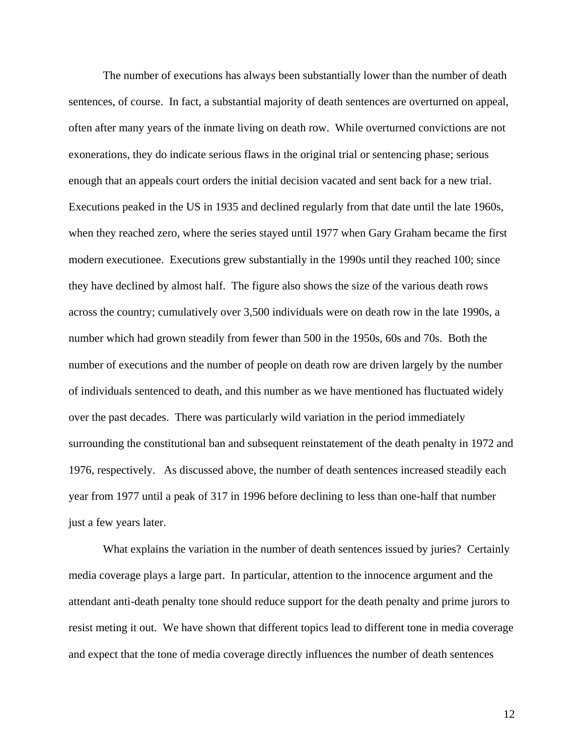The number of executions has always been substantially lower than the number of death sentences, of course. In fact, a substantial majority of death sentences are overturned on appeal, often after many years of the inmate living on death row. While overturned convictions are not exonerations, they do indicate serious flaws in the original trial or sentencing phase; serious enough that an appeals court orders the initial decision vacated and sent back for a new trial. Executions peaked in the US in 1935 and declined regularly from that date until the late 1960s, when they reached zero, where the series stayed until 1977 when Gary Graham became the first modern executionee. Executions grew substantially in the 1990s until they reached 100; since they have declined by almost half. The figure also shows the size of the various death rows across the country; cumulatively over 3,500 individuals were on death row in the late 1990s, a number which had grown steadily from fewer than 500 in the 1950s, 60s and 70s. Both the number of executions and the number of people on death row are driven largely by the number of individuals sentenced to death, and this number as we have mentioned has fluctuated widely over the past decades. There was particularly wild variation in the period immediately surrounding the constitutional ban and subsequent reinstatement of the death penalty in 1972 and 1976, respectively. As discussed above, the number of death sentences increased steadily each year from 1977 until a peak of 317 in 1996 before declining to less than one-half that number just a few years later.

What explains the variation in the number of death sentences issued by juries? Certainly media coverage plays a large part. In particular, attention to the innocence argument and the attendant anti-death penalty tone should reduce support for the death penalty and prime jurors to resist meting it out. We have shown that different topics lead to different tone in media coverage and expect that the tone of media coverage directly influences the number of death sentences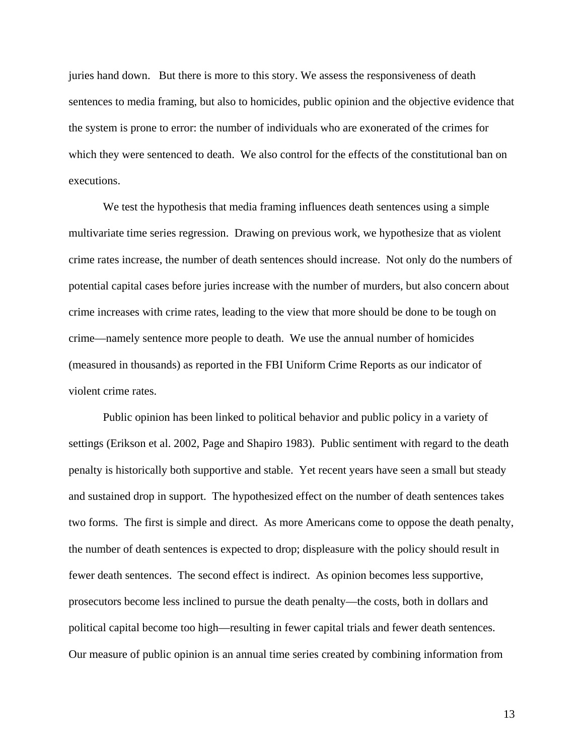juries hand down. But there is more to this story. We assess the responsiveness of death sentences to media framing, but also to homicides, public opinion and the objective evidence that the system is prone to error: the number of individuals who are exonerated of the crimes for which they were sentenced to death. We also control for the effects of the constitutional ban on executions.

We test the hypothesis that media framing influences death sentences using a simple multivariate time series regression. Drawing on previous work, we hypothesize that as violent crime rates increase, the number of death sentences should increase. Not only do the numbers of potential capital cases before juries increase with the number of murders, but also concern about crime increases with crime rates, leading to the view that more should be done to be tough on crime—namely sentence more people to death. We use the annual number of homicides (measured in thousands) as reported in the FBI Uniform Crime Reports as our indicator of violent crime rates.

Public opinion has been linked to political behavior and public policy in a variety of settings (Erikson et al. 2002, Page and Shapiro 1983). Public sentiment with regard to the death penalty is historically both supportive and stable. Yet recent years have seen a small but steady and sustained drop in support. The hypothesized effect on the number of death sentences takes two forms. The first is simple and direct. As more Americans come to oppose the death penalty, the number of death sentences is expected to drop; displeasure with the policy should result in fewer death sentences. The second effect is indirect. As opinion becomes less supportive, prosecutors become less inclined to pursue the death penalty—the costs, both in dollars and political capital become too high—resulting in fewer capital trials and fewer death sentences. Our measure of public opinion is an annual time series created by combining information from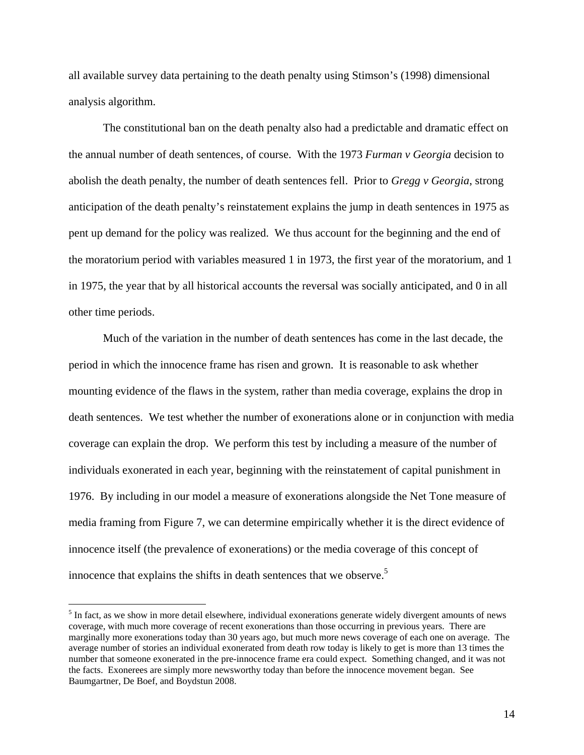all available survey data pertaining to the death penalty using Stimson's (1998) dimensional analysis algorithm.

The constitutional ban on the death penalty also had a predictable and dramatic effect on the annual number of death sentences, of course. With the 1973 *Furman v Georgia* decision to abolish the death penalty, the number of death sentences fell. Prior to *Gregg v Georgia*, strong anticipation of the death penalty's reinstatement explains the jump in death sentences in 1975 as pent up demand for the policy was realized. We thus account for the beginning and the end of the moratorium period with variables measured 1 in 1973, the first year of the moratorium, and 1 in 1975, the year that by all historical accounts the reversal was socially anticipated, and 0 in all other time periods.

Much of the variation in the number of death sentences has come in the last decade, the period in which the innocence frame has risen and grown. It is reasonable to ask whether mounting evidence of the flaws in the system, rather than media coverage, explains the drop in death sentences. We test whether the number of exonerations alone or in conjunction with media coverage can explain the drop. We perform this test by including a measure of the number of individuals exonerated in each year, beginning with the reinstatement of capital punishment in 1976. By including in our model a measure of exonerations alongside the Net Tone measure of media framing from Figure 7, we can determine empirically whether it is the direct evidence of innocence itself (the prevalence of exonerations) or the media coverage of this concept of innocence that explains the shifts in death sentences that we observe.<sup>5</sup>

 $<sup>5</sup>$  In fact, as we show in more detail elsewhere, individual exonerations generate widely divergent amounts of news</sup> coverage, with much more coverage of recent exonerations than those occurring in previous years. There are marginally more exonerations today than 30 years ago, but much more news coverage of each one on average. The average number of stories an individual exonerated from death row today is likely to get is more than 13 times the number that someone exonerated in the pre-innocence frame era could expect. Something changed, and it was not the facts. Exonerees are simply more newsworthy today than before the innocence movement began. See Baumgartner, De Boef, and Boydstun 2008.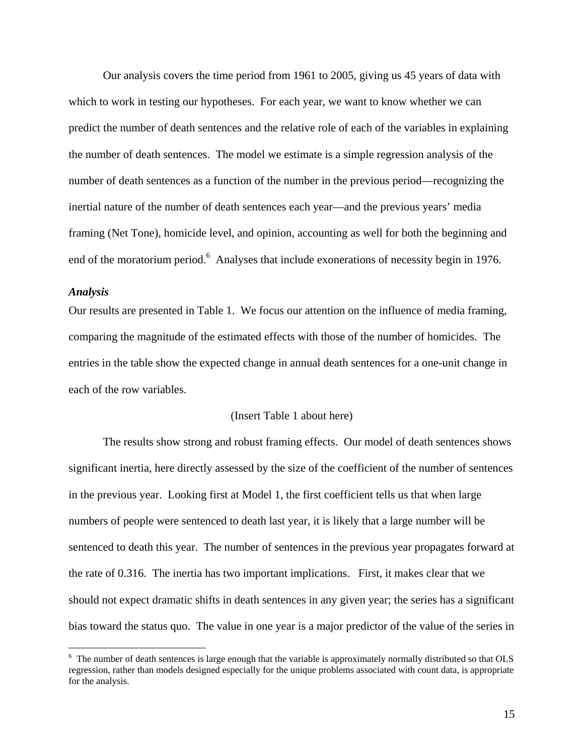Our analysis covers the time period from 1961 to 2005, giving us 45 years of data with which to work in testing our hypotheses. For each year, we want to know whether we can predict the number of death sentences and the relative role of each of the variables in explaining the number of death sentences. The model we estimate is a simple regression analysis of the number of death sentences as a function of the number in the previous period—recognizing the inertial nature of the number of death sentences each year—and the previous years' media framing (Net Tone), homicide level, and opinion, accounting as well for both the beginning and end of the moratorium period.<sup>6</sup> Analyses that include exonerations of necessity begin in 1976.

## *Analysis*

 $\overline{a}$ 

Our results are presented in Table 1. We focus our attention on the influence of media framing, comparing the magnitude of the estimated effects with those of the number of homicides. The entries in the table show the expected change in annual death sentences for a one-unit change in each of the row variables.

### (Insert Table 1 about here)

The results show strong and robust framing effects. Our model of death sentences shows significant inertia, here directly assessed by the size of the coefficient of the number of sentences in the previous year. Looking first at Model 1, the first coefficient tells us that when large numbers of people were sentenced to death last year, it is likely that a large number will be sentenced to death this year. The number of sentences in the previous year propagates forward at the rate of 0.316. The inertia has two important implications. First, it makes clear that we should not expect dramatic shifts in death sentences in any given year; the series has a significant bias toward the status quo. The value in one year is a major predictor of the value of the series in

<sup>&</sup>lt;sup>6</sup> The number of death sentences is large enough that the variable is approximately normally distributed so that OLS regression, rather than models designed especially for the unique problems associated with count data, is appropriate for the analysis.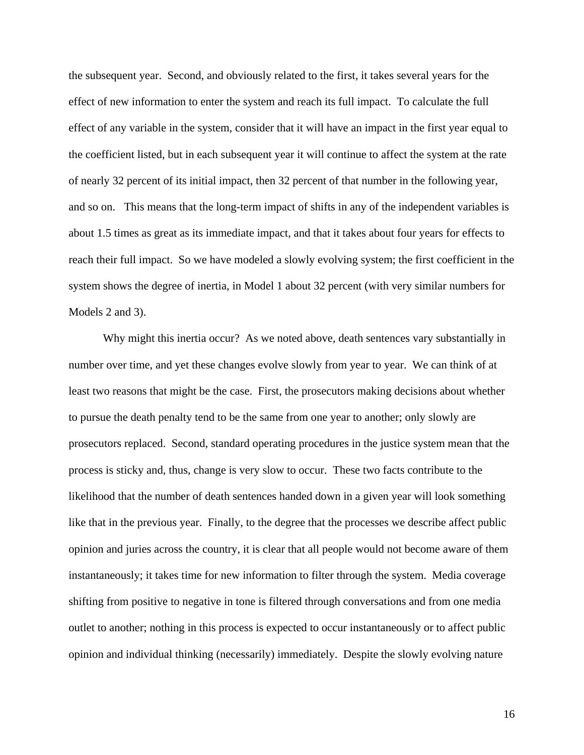the subsequent year. Second, and obviously related to the first, it takes several years for the effect of new information to enter the system and reach its full impact. To calculate the full effect of any variable in the system, consider that it will have an impact in the first year equal to the coefficient listed, but in each subsequent year it will continue to affect the system at the rate of nearly 32 percent of its initial impact, then 32 percent of that number in the following year, and so on. This means that the long-term impact of shifts in any of the independent variables is about 1.5 times as great as its immediate impact, and that it takes about four years for effects to reach their full impact. So we have modeled a slowly evolving system; the first coefficient in the system shows the degree of inertia, in Model 1 about 32 percent (with very similar numbers for Models 2 and 3).

Why might this inertia occur? As we noted above, death sentences vary substantially in number over time, and yet these changes evolve slowly from year to year. We can think of at least two reasons that might be the case. First, the prosecutors making decisions about whether to pursue the death penalty tend to be the same from one year to another; only slowly are prosecutors replaced. Second, standard operating procedures in the justice system mean that the process is sticky and, thus, change is very slow to occur. These two facts contribute to the likelihood that the number of death sentences handed down in a given year will look something like that in the previous year. Finally, to the degree that the processes we describe affect public opinion and juries across the country, it is clear that all people would not become aware of them instantaneously; it takes time for new information to filter through the system. Media coverage shifting from positive to negative in tone is filtered through conversations and from one media outlet to another; nothing in this process is expected to occur instantaneously or to affect public opinion and individual thinking (necessarily) immediately. Despite the slowly evolving nature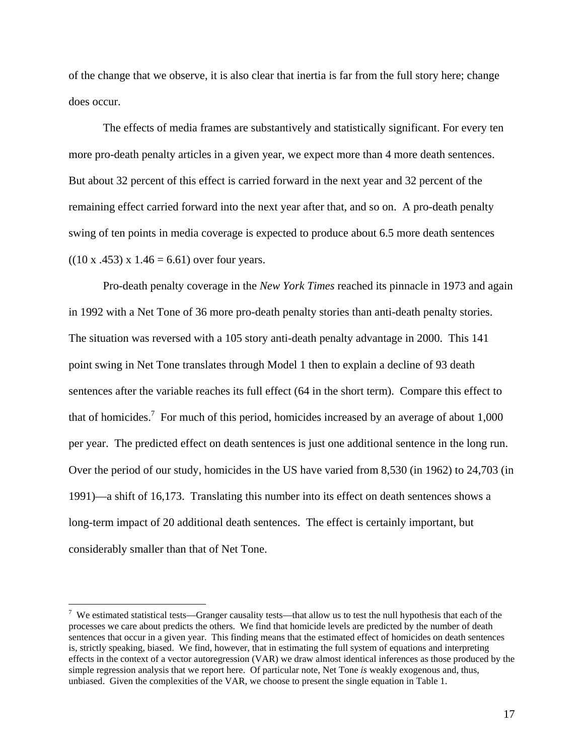of the change that we observe, it is also clear that inertia is far from the full story here; change does occur.

The effects of media frames are substantively and statistically significant. For every ten more pro-death penalty articles in a given year, we expect more than 4 more death sentences. But about 32 percent of this effect is carried forward in the next year and 32 percent of the remaining effect carried forward into the next year after that, and so on. A pro-death penalty swing of ten points in media coverage is expected to produce about 6.5 more death sentences  $((10 \times .453) \times 1.46 = 6.61)$  over four years.

Pro-death penalty coverage in the *New York Times* reached its pinnacle in 1973 and again in 1992 with a Net Tone of 36 more pro-death penalty stories than anti-death penalty stories. The situation was reversed with a 105 story anti-death penalty advantage in 2000. This 141 point swing in Net Tone translates through Model 1 then to explain a decline of 93 death sentences after the variable reaches its full effect (64 in the short term). Compare this effect to that of homicides.<sup>7</sup> For much of this period, homicides increased by an average of about  $1,000$ per year. The predicted effect on death sentences is just one additional sentence in the long run. Over the period of our study, homicides in the US have varied from 8,530 (in 1962) to 24,703 (in 1991)—a shift of 16,173. Translating this number into its effect on death sentences shows a long-term impact of 20 additional death sentences. The effect is certainly important, but considerably smaller than that of Net Tone.

<u>.</u>

<sup>&</sup>lt;sup>7</sup> We estimated statistical tests—Granger causality tests—that allow us to test the null hypothesis that each of the processes we care about predicts the others. We find that homicide levels are predicted by the number of death sentences that occur in a given year. This finding means that the estimated effect of homicides on death sentences is, strictly speaking, biased. We find, however, that in estimating the full system of equations and interpreting effects in the context of a vector autoregression (VAR) we draw almost identical inferences as those produced by the simple regression analysis that we report here. Of particular note, Net Tone *is* weakly exogenous and, thus, unbiased. Given the complexities of the VAR, we choose to present the single equation in Table 1.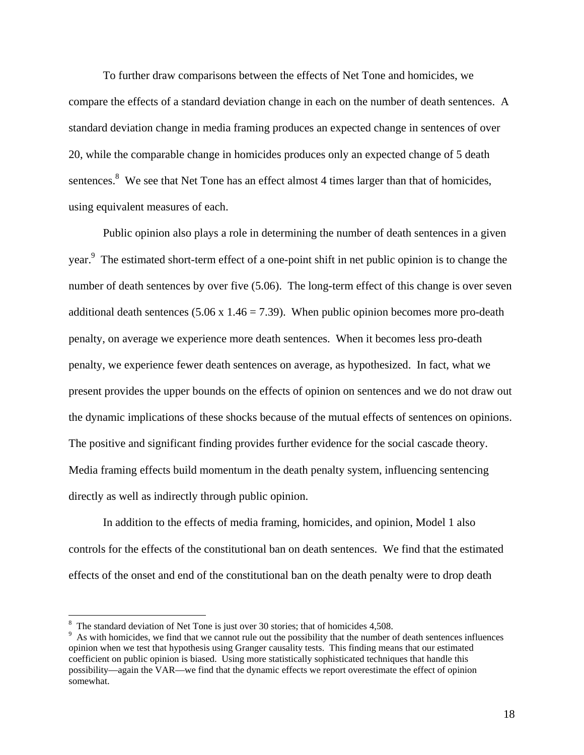To further draw comparisons between the effects of Net Tone and homicides, we compare the effects of a standard deviation change in each on the number of death sentences. A standard deviation change in media framing produces an expected change in sentences of over 20, while the comparable change in homicides produces only an expected change of 5 death sentences.<sup>8</sup> We see that Net Tone has an effect almost 4 times larger than that of homicides, using equivalent measures of each.

Public opinion also plays a role in determining the number of death sentences in a given year.<sup>9</sup> The estimated short-term effect of a one-point shift in net public opinion is to change the number of death sentences by over five (5.06). The long-term effect of this change is over seven additional death sentences (5.06 x 1.46 = 7.39). When public opinion becomes more pro-death penalty, on average we experience more death sentences. When it becomes less pro-death penalty, we experience fewer death sentences on average, as hypothesized. In fact, what we present provides the upper bounds on the effects of opinion on sentences and we do not draw out the dynamic implications of these shocks because of the mutual effects of sentences on opinions. The positive and significant finding provides further evidence for the social cascade theory. Media framing effects build momentum in the death penalty system, influencing sentencing directly as well as indirectly through public opinion.

In addition to the effects of media framing, homicides, and opinion, Model 1 also controls for the effects of the constitutional ban on death sentences. We find that the estimated effects of the onset and end of the constitutional ban on the death penalty were to drop death

 $8\text{ The standard deviation of Net T one is just over 30 stories; that of homicides 4,508.}$ 

<sup>&</sup>lt;sup>9</sup> As with homicides, we find that we cannot rule out the possibility that the number of death sentences influences opinion when we test that hypothesis using Granger causality tests. This finding means that our estimated coefficient on public opinion is biased. Using more statistically sophisticated techniques that handle this possibility—again the VAR—we find that the dynamic effects we report overestimate the effect of opinion somewhat.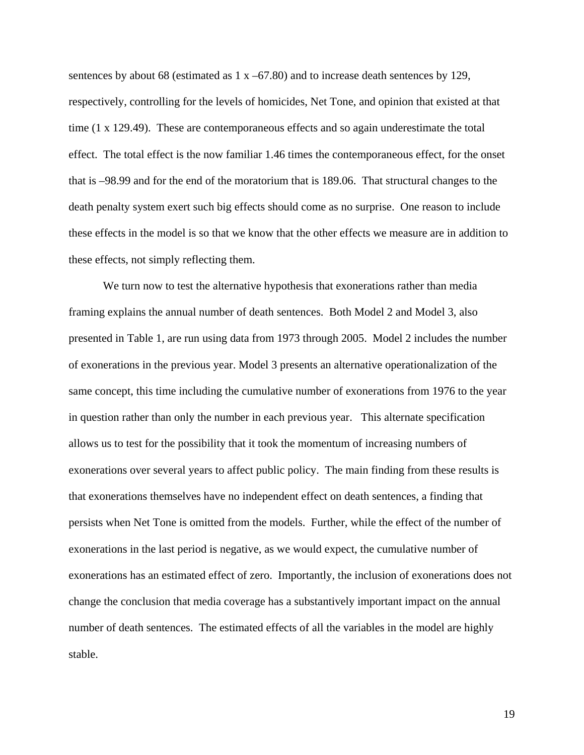sentences by about 68 (estimated as  $1 \times -67.80$ ) and to increase death sentences by 129, respectively, controlling for the levels of homicides, Net Tone, and opinion that existed at that time (1 x 129.49). These are contemporaneous effects and so again underestimate the total effect. The total effect is the now familiar 1.46 times the contemporaneous effect, for the onset that is –98.99 and for the end of the moratorium that is 189.06. That structural changes to the death penalty system exert such big effects should come as no surprise. One reason to include these effects in the model is so that we know that the other effects we measure are in addition to these effects, not simply reflecting them.

We turn now to test the alternative hypothesis that exonerations rather than media framing explains the annual number of death sentences. Both Model 2 and Model 3, also presented in Table 1, are run using data from 1973 through 2005. Model 2 includes the number of exonerations in the previous year. Model 3 presents an alternative operationalization of the same concept, this time including the cumulative number of exonerations from 1976 to the year in question rather than only the number in each previous year. This alternate specification allows us to test for the possibility that it took the momentum of increasing numbers of exonerations over several years to affect public policy. The main finding from these results is that exonerations themselves have no independent effect on death sentences, a finding that persists when Net Tone is omitted from the models. Further, while the effect of the number of exonerations in the last period is negative, as we would expect, the cumulative number of exonerations has an estimated effect of zero. Importantly, the inclusion of exonerations does not change the conclusion that media coverage has a substantively important impact on the annual number of death sentences. The estimated effects of all the variables in the model are highly stable.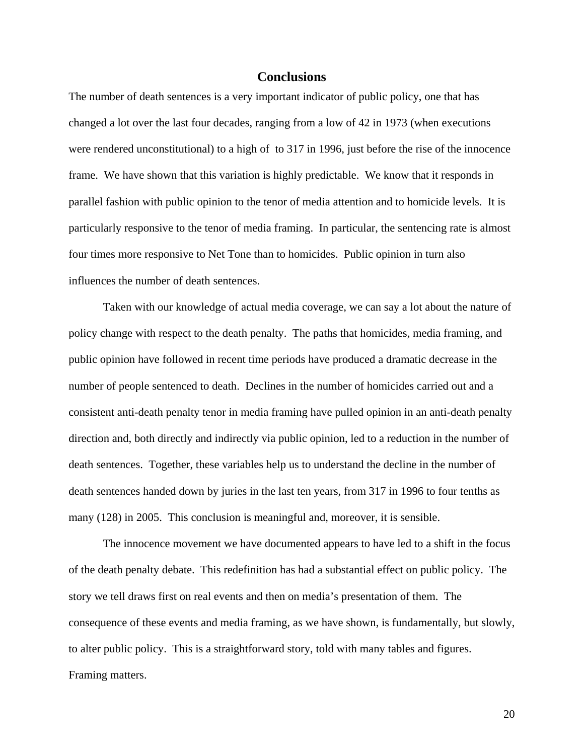# **Conclusions**

The number of death sentences is a very important indicator of public policy, one that has changed a lot over the last four decades, ranging from a low of 42 in 1973 (when executions were rendered unconstitutional) to a high of to 317 in 1996, just before the rise of the innocence frame. We have shown that this variation is highly predictable. We know that it responds in parallel fashion with public opinion to the tenor of media attention and to homicide levels. It is particularly responsive to the tenor of media framing. In particular, the sentencing rate is almost four times more responsive to Net Tone than to homicides. Public opinion in turn also influences the number of death sentences.

Taken with our knowledge of actual media coverage, we can say a lot about the nature of policy change with respect to the death penalty. The paths that homicides, media framing, and public opinion have followed in recent time periods have produced a dramatic decrease in the number of people sentenced to death. Declines in the number of homicides carried out and a consistent anti-death penalty tenor in media framing have pulled opinion in an anti-death penalty direction and, both directly and indirectly via public opinion, led to a reduction in the number of death sentences. Together, these variables help us to understand the decline in the number of death sentences handed down by juries in the last ten years, from 317 in 1996 to four tenths as many (128) in 2005. This conclusion is meaningful and, moreover, it is sensible.

The innocence movement we have documented appears to have led to a shift in the focus of the death penalty debate. This redefinition has had a substantial effect on public policy. The story we tell draws first on real events and then on media's presentation of them. The consequence of these events and media framing, as we have shown, is fundamentally, but slowly, to alter public policy. This is a straightforward story, told with many tables and figures. Framing matters.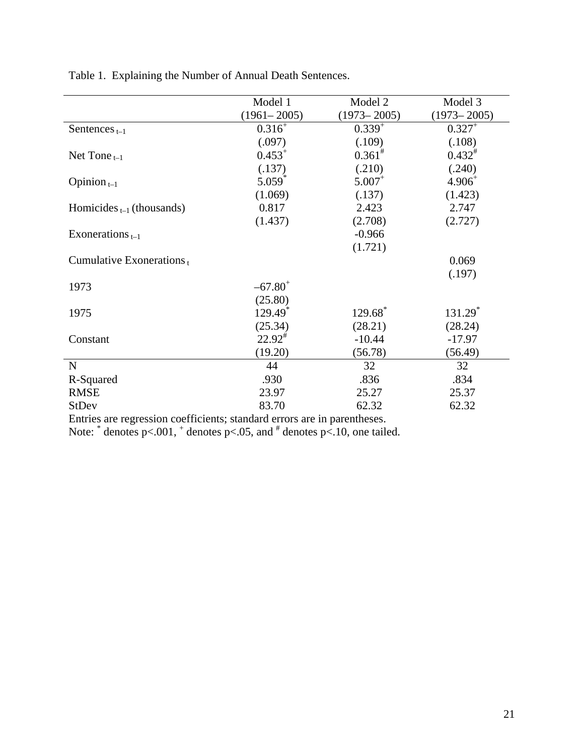|                                | Model 1             | Model 2              | Model 3             |
|--------------------------------|---------------------|----------------------|---------------------|
|                                | $(1961 - 2005)$     | $(1973 - 2005)$      | $(1973 - 2005)$     |
| Sentences $_{t-1}$             | $0.316^{+}$         | $0.339^{+}$          | $0.327^{+}$         |
|                                | (.097)              | (.109)               | (.108)              |
| Net Tone $_{t-1}$              | $0.453^{+}$         | $0.361^{*}$          | $0.432^{*}$         |
|                                | (.137)              | (.210)               | (.240)              |
| Opinion $_{t-1}$               | 5.059               | $5.007$ <sup>+</sup> | $4.906^{+}$         |
|                                | (1.069)             | (.137)               | (1.423)             |
| Homicides $_{t-1}$ (thousands) | 0.817               | 2.423                | 2.747               |
|                                | (1.437)             | (2.708)              | (2.727)             |
| Exonerations $_{t-1}$          |                     | $-0.966$             |                     |
|                                |                     | (1.721)              |                     |
| Cumulative Exonerations $_{t}$ |                     |                      | 0.069               |
|                                |                     |                      | (.197)              |
| 1973                           | $-67.80^+$          |                      |                     |
|                                | (25.80)             |                      |                     |
| 1975                           | 129.49 <sup>*</sup> | 129.68*              | 131.29 <sup>*</sup> |
|                                | (25.34)             | (28.21)              | (28.24)             |
| Constant                       | $22.92^{\#}$        | $-10.44$             | $-17.97$            |
|                                | (19.20)             | (56.78)              | (56.49)             |
| N                              | 44                  | 32                   | 32                  |
| R-Squared                      | .930                | .836                 | .834                |
| <b>RMSE</b>                    | 23.97               | 25.27                | 25.37               |
| <b>StDev</b>                   | 83.70               | 62.32                | 62.32               |
|                                |                     |                      |                     |

Table 1. Explaining the Number of Annual Death Sentences.

Entries are regression coefficients; standard errors are in parentheses.

Note:  $*$  denotes p<.001,  $*$  denotes p<.05, and  $*$  denotes p<.10, one tailed.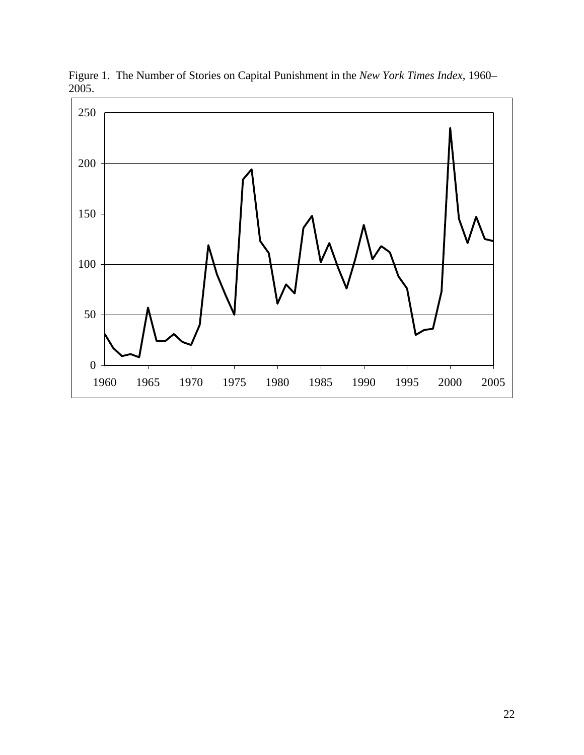

Figure 1. The Number of Stories on Capital Punishment in the *New York Times Index*, 1960– 2005.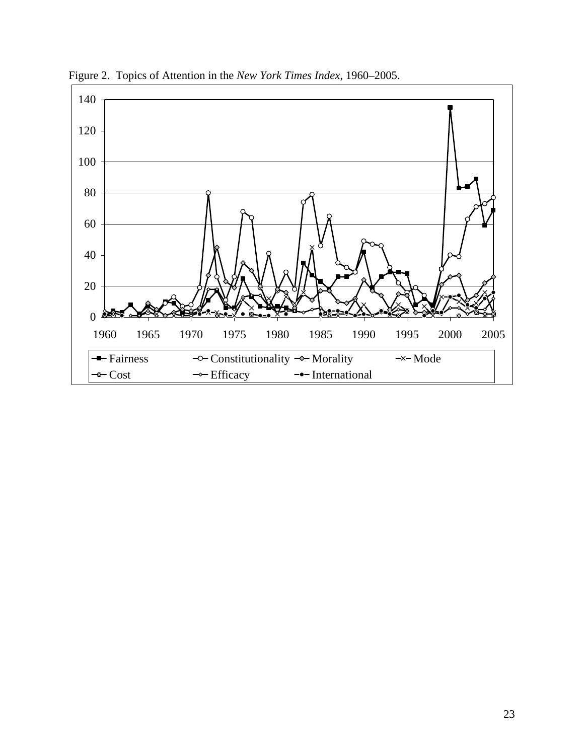

Figure 2. Topics of Attention in the *New York Times Index*, 1960–2005.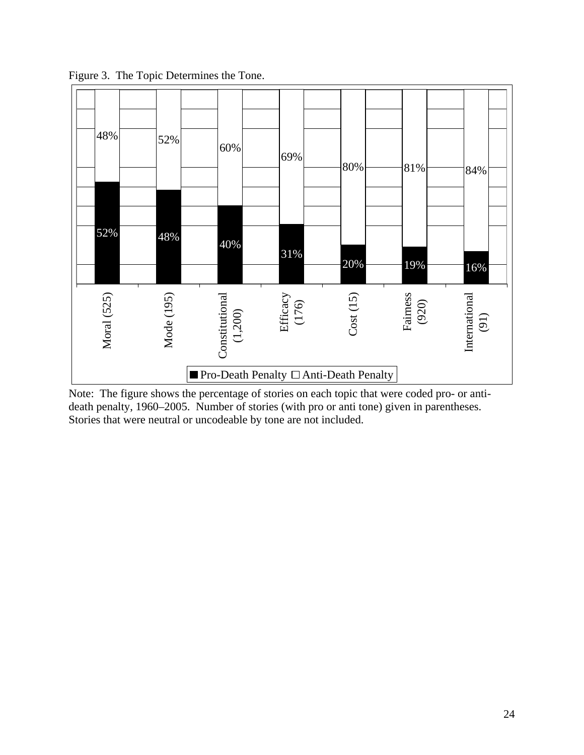

Figure 3. The Topic Determines the Tone.

Note: The figure shows the percentage of stories on each topic that were coded pro- or antideath penalty, 1960–2005. Number of stories (with pro or anti tone) given in parentheses. Stories that were neutral or uncodeable by tone are not included.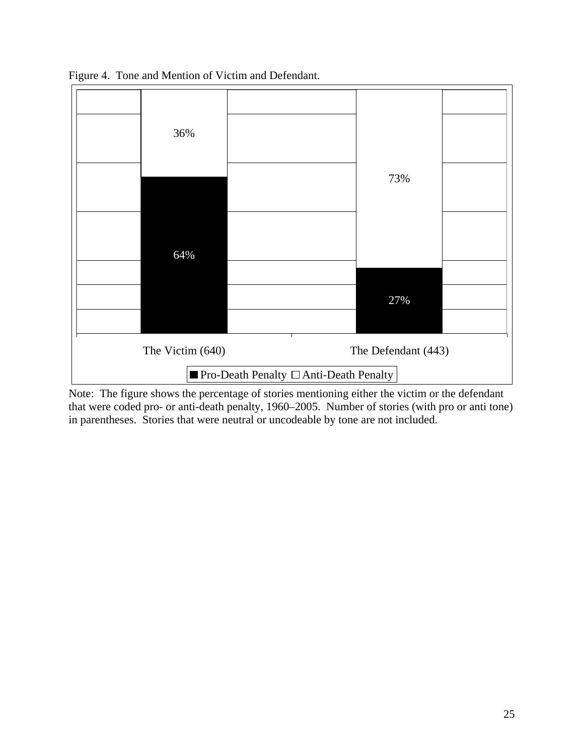

Figure 4. Tone and Mention of Victim and Defendant.

Note: The figure shows the percentage of stories mentioning either the victim or the defendant that were coded pro- or anti-death penalty, 1960–2005. Number of stories (with pro or anti tone) in parentheses. Stories that were neutral or uncodeable by tone are not included.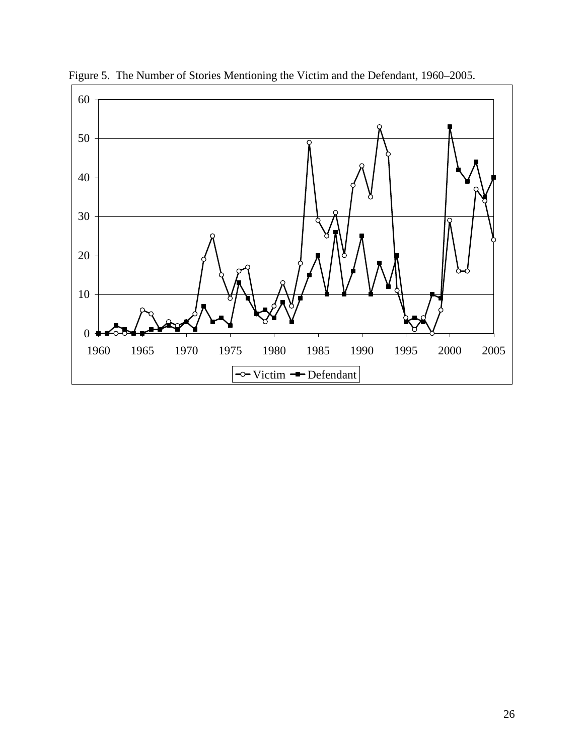

Figure 5. The Number of Stories Mentioning the Victim and the Defendant, 1960–2005.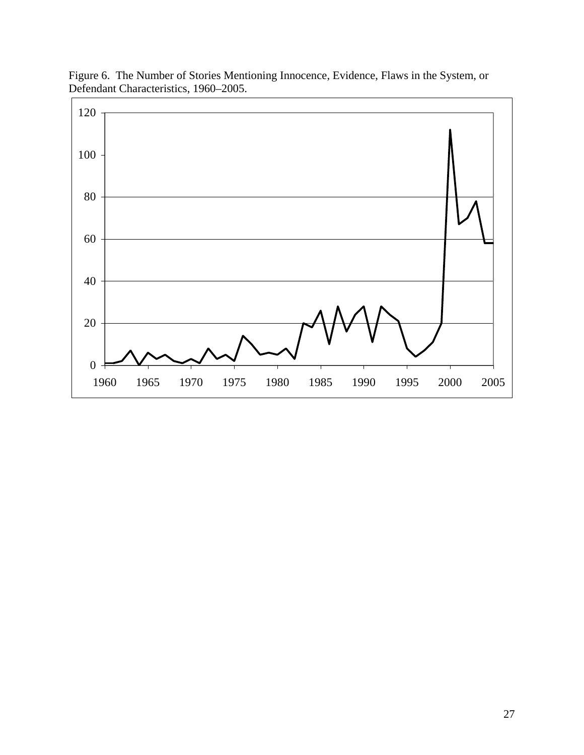

Figure 6. The Number of Stories Mentioning Innocence, Evidence, Flaws in the System, or Defendant Characteristics, 1960–2005.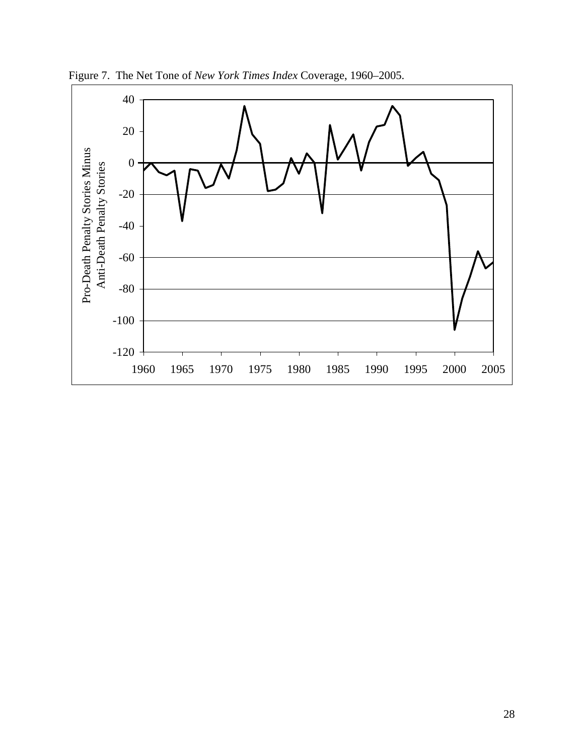

Figure 7. The Net Tone of *New York Times Index* Coverage, 1960–2005.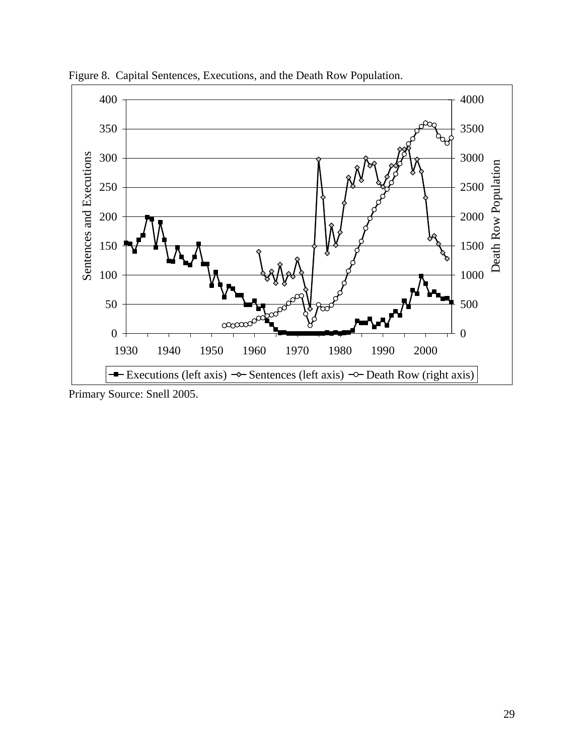

Figure 8. Capital Sentences, Executions, and the Death Row Population.

Primary Source: Snell 2005.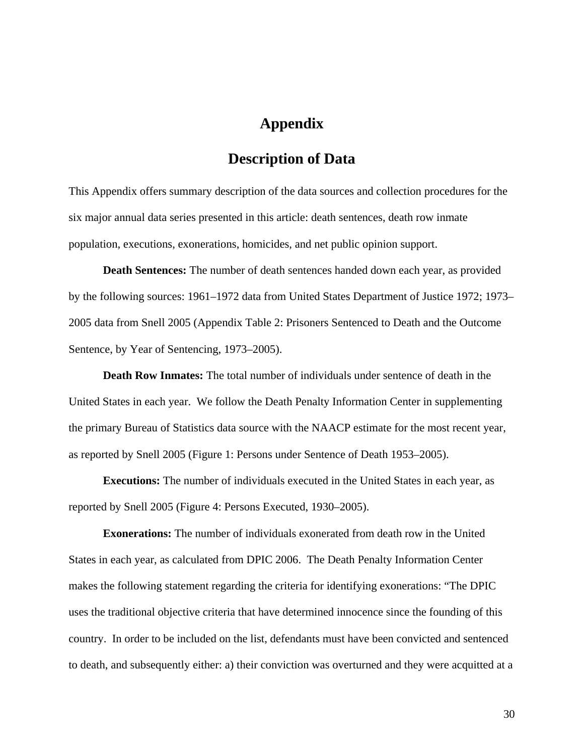# **Appendix**

# **Description of Data**

This Appendix offers summary description of the data sources and collection procedures for the six major annual data series presented in this article: death sentences, death row inmate population, executions, exonerations, homicides, and net public opinion support.

**Death Sentences:** The number of death sentences handed down each year, as provided by the following sources: 1961–1972 data from United States Department of Justice 1972; 1973– 2005 data from Snell 2005 (Appendix Table 2: Prisoners Sentenced to Death and the Outcome Sentence, by Year of Sentencing, 1973–2005).

**Death Row Inmates:** The total number of individuals under sentence of death in the United States in each year. We follow the Death Penalty Information Center in supplementing the primary Bureau of Statistics data source with the NAACP estimate for the most recent year, as reported by Snell 2005 (Figure 1: Persons under Sentence of Death 1953–2005).

**Executions:** The number of individuals executed in the United States in each year, as reported by Snell 2005 (Figure 4: Persons Executed, 1930–2005).

**Exonerations:** The number of individuals exonerated from death row in the United States in each year, as calculated from DPIC 2006. The Death Penalty Information Center makes the following statement regarding the criteria for identifying exonerations: "The DPIC uses the traditional objective criteria that have determined innocence since the founding of this country. In order to be included on the list, defendants must have been convicted and sentenced to death, and subsequently either: a) their conviction was overturned and they were acquitted at a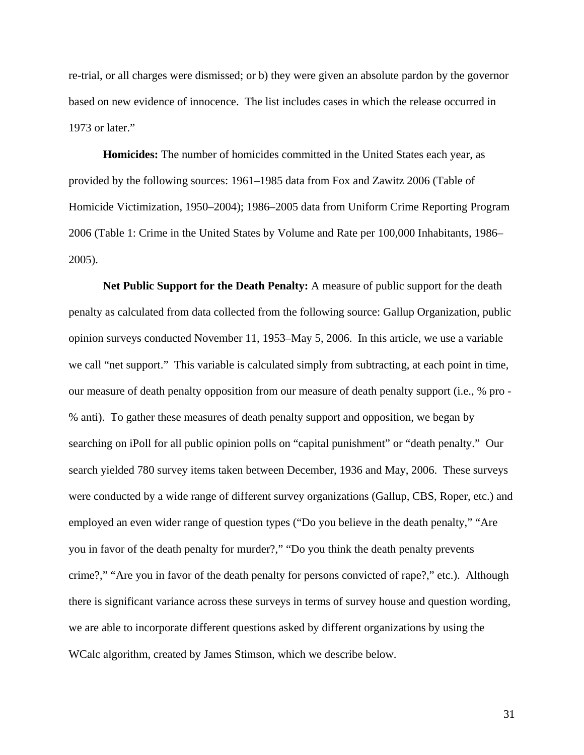re-trial, or all charges were dismissed; or b) they were given an absolute pardon by the governor based on new evidence of innocence. The list includes cases in which the release occurred in 1973 or later."

**Homicides:** The number of homicides committed in the United States each year, as provided by the following sources: 1961–1985 data from Fox and Zawitz 2006 (Table of Homicide Victimization, 1950–2004); 1986–2005 data from Uniform Crime Reporting Program 2006 (Table 1: Crime in the United States by Volume and Rate per 100,000 Inhabitants, 1986– 2005).

**Net Public Support for the Death Penalty:** A measure of public support for the death penalty as calculated from data collected from the following source: Gallup Organization, public opinion surveys conducted November 11, 1953–May 5, 2006. In this article, we use a variable we call "net support." This variable is calculated simply from subtracting, at each point in time, our measure of death penalty opposition from our measure of death penalty support (i.e., % pro - % anti). To gather these measures of death penalty support and opposition, we began by searching on iPoll for all public opinion polls on "capital punishment" or "death penalty." Our search yielded 780 survey items taken between December, 1936 and May, 2006. These surveys were conducted by a wide range of different survey organizations (Gallup, CBS, Roper, etc.) and employed an even wider range of question types ("Do you believe in the death penalty," "Are you in favor of the death penalty for murder?," "Do you think the death penalty prevents crime?," "Are you in favor of the death penalty for persons convicted of rape?," etc.). Although there is significant variance across these surveys in terms of survey house and question wording, we are able to incorporate different questions asked by different organizations by using the WCalc algorithm, created by James Stimson, which we describe below.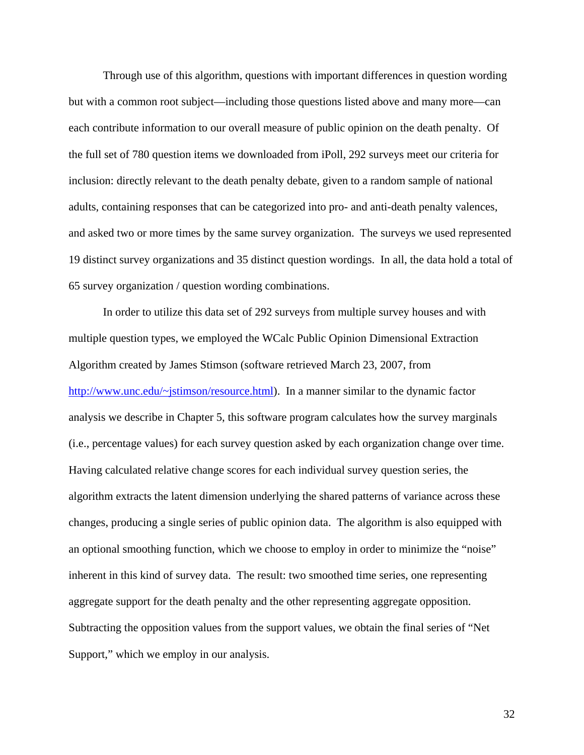Through use of this algorithm, questions with important differences in question wording but with a common root subject—including those questions listed above and many more—can each contribute information to our overall measure of public opinion on the death penalty. Of the full set of 780 question items we downloaded from iPoll, 292 surveys meet our criteria for inclusion: directly relevant to the death penalty debate, given to a random sample of national adults, containing responses that can be categorized into pro- and anti-death penalty valences, and asked two or more times by the same survey organization. The surveys we used represented 19 distinct survey organizations and 35 distinct question wordings. In all, the data hold a total of 65 survey organization / question wording combinations.

In order to utilize this data set of 292 surveys from multiple survey houses and with multiple question types, we employed the WCalc Public Opinion Dimensional Extraction Algorithm created by James Stimson (software retrieved March 23, 2007, from http://www.unc.edu/~jstimson/resource.html). In a manner similar to the dynamic factor analysis we describe in Chapter 5, this software program calculates how the survey marginals (i.e., percentage values) for each survey question asked by each organization change over time. Having calculated relative change scores for each individual survey question series, the algorithm extracts the latent dimension underlying the shared patterns of variance across these changes, producing a single series of public opinion data. The algorithm is also equipped with an optional smoothing function, which we choose to employ in order to minimize the "noise" inherent in this kind of survey data. The result: two smoothed time series, one representing aggregate support for the death penalty and the other representing aggregate opposition. Subtracting the opposition values from the support values, we obtain the final series of "Net Support," which we employ in our analysis.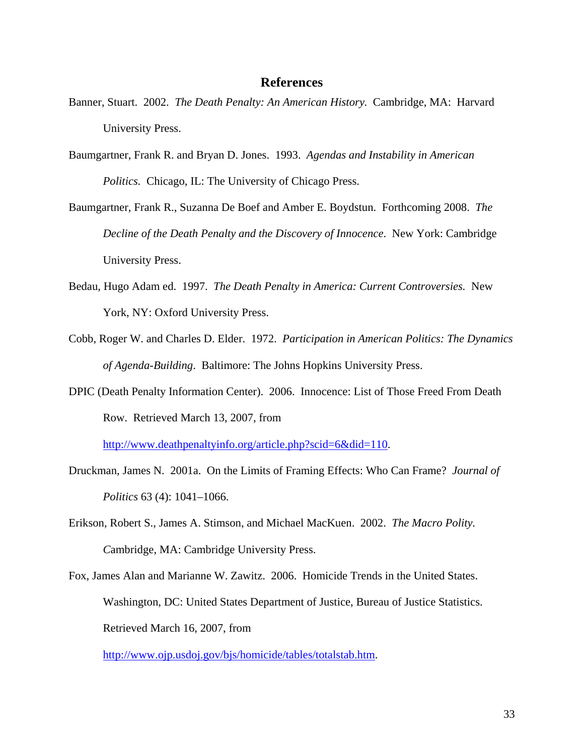# **References**

- Banner, Stuart. 2002. *The Death Penalty: An American History.* Cambridge, MA: Harvard University Press.
- Baumgartner, Frank R. and Bryan D. Jones. 1993. *Agendas and Instability in American Politics.* Chicago, IL: The University of Chicago Press.
- Baumgartner, Frank R., Suzanna De Boef and Amber E. Boydstun. Forthcoming 2008. *The Decline of the Death Penalty and the Discovery of Innocence*. New York: Cambridge University Press.
- Bedau, Hugo Adam ed. 1997. *The Death Penalty in America: Current Controversies.* New York, NY: Oxford University Press.
- Cobb, Roger W. and Charles D. Elder. 1972. *Participation in American Politics: The Dynamics of Agenda-Building*. Baltimore: The Johns Hopkins University Press.
- DPIC (Death Penalty Information Center). 2006. Innocence: List of Those Freed From Death Row. Retrieved March 13, 2007, from

http://www.deathpenaltyinfo.org/article.php?scid=6&did=110.

- Druckman, James N. 2001a. On the Limits of Framing Effects: Who Can Frame? *Journal of Politics* 63 (4): 1041–1066.
- Erikson, Robert S., James A. Stimson, and Michael MacKuen. 2002. *The Macro Polity. C*ambridge, MA: Cambridge University Press.
- Fox, James Alan and Marianne W. Zawitz. 2006. Homicide Trends in the United States. Washington, DC: United States Department of Justice, Bureau of Justice Statistics. Retrieved March 16, 2007, from

http://www.ojp.usdoj.gov/bjs/homicide/tables/totalstab.htm.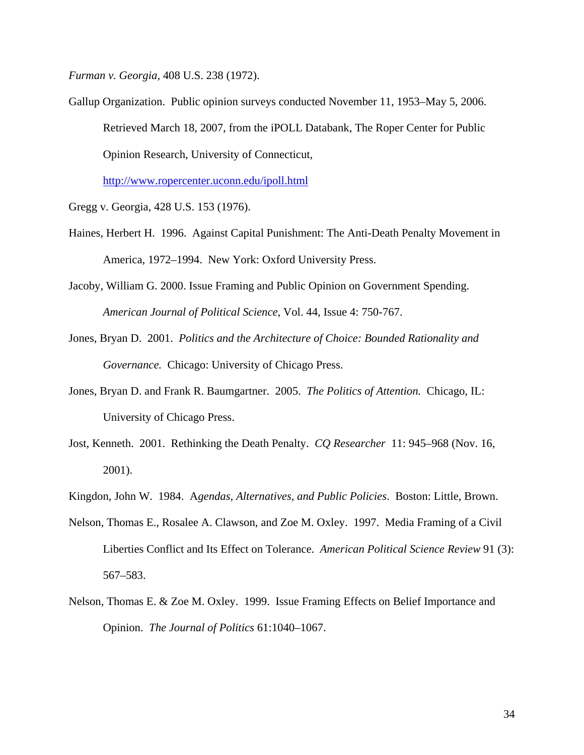*Furman v. Georgia*, 408 U.S. 238 (1972).

Gallup Organization. Public opinion surveys conducted November 11, 1953–May 5, 2006. Retrieved March 18, 2007, from the iPOLL Databank, The Roper Center for Public Opinion Research, University of Connecticut,

http://www.ropercenter.uconn.edu/ipoll.html

Gregg v. Georgia, 428 U.S. 153 (1976).

- Haines, Herbert H. 1996. Against Capital Punishment: The Anti-Death Penalty Movement in America, 1972–1994. New York: Oxford University Press.
- Jacoby, William G. 2000. Issue Framing and Public Opinion on Government Spending. *American Journal of Political Science*, Vol. 44, Issue 4: 750-767.
- Jones, Bryan D. 2001. *Politics and the Architecture of Choice: Bounded Rationality and Governance.* Chicago: University of Chicago Press.
- Jones, Bryan D. and Frank R. Baumgartner. 2005. *The Politics of Attention.* Chicago, IL: University of Chicago Press.
- Jost, Kenneth. 2001. Rethinking the Death Penalty. *CQ Researcher* 11: 945–968 (Nov. 16, 2001).
- Kingdon, John W. 1984. A*gendas, Alternatives, and Public Policies*. Boston: Little, Brown.
- Nelson, Thomas E., Rosalee A. Clawson, and Zoe M. Oxley. 1997. Media Framing of a Civil Liberties Conflict and Its Effect on Tolerance. *American Political Science Review* 91 (3): 567–583.
- Nelson, Thomas E. & Zoe M. Oxley. 1999. Issue Framing Effects on Belief Importance and Opinion. *The Journal of Politics* 61:1040–1067.